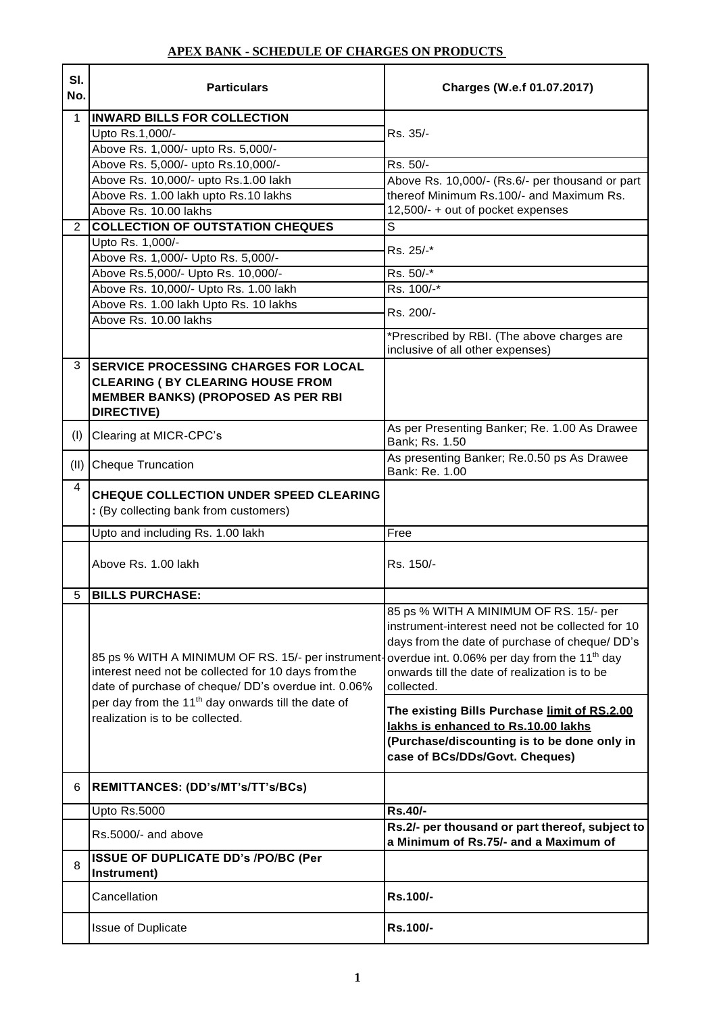| SI.<br>No.     | <b>Particulars</b>                                                                                                                                                                                                                                                    | Charges (W.e.f 01.07.2017)                                                                                                                                                                                                                                              |
|----------------|-----------------------------------------------------------------------------------------------------------------------------------------------------------------------------------------------------------------------------------------------------------------------|-------------------------------------------------------------------------------------------------------------------------------------------------------------------------------------------------------------------------------------------------------------------------|
| $\mathbf 1$    | <b>INWARD BILLS FOR COLLECTION</b><br>Upto Rs.1,000/-<br>Above Rs. 1,000/- upto Rs. 5,000/-                                                                                                                                                                           | Rs. 35/-                                                                                                                                                                                                                                                                |
|                | Above Rs. 5,000/- upto Rs.10,000/-                                                                                                                                                                                                                                    | Rs. 50/-                                                                                                                                                                                                                                                                |
|                | Above Rs. 10,000/- upto Rs.1.00 lakh                                                                                                                                                                                                                                  | Above Rs. 10,000/- (Rs.6/- per thousand or part                                                                                                                                                                                                                         |
|                | Above Rs. 1.00 lakh upto Rs.10 lakhs                                                                                                                                                                                                                                  | thereof Minimum Rs.100/- and Maximum Rs.                                                                                                                                                                                                                                |
|                | Above Rs. 10.00 lakhs                                                                                                                                                                                                                                                 | 12,500/- + out of pocket expenses                                                                                                                                                                                                                                       |
| $\overline{2}$ | <b>COLLECTION OF OUTSTATION CHEQUES</b>                                                                                                                                                                                                                               | $\overline{s}$                                                                                                                                                                                                                                                          |
|                | Upto Rs. 1,000/-                                                                                                                                                                                                                                                      |                                                                                                                                                                                                                                                                         |
|                | Above Rs. 1,000/- Upto Rs. 5,000/-                                                                                                                                                                                                                                    | Rs. 25/-*                                                                                                                                                                                                                                                               |
|                | Above Rs.5,000/- Upto Rs. 10,000/-                                                                                                                                                                                                                                    | Rs. 50/-*                                                                                                                                                                                                                                                               |
|                | Above Rs. 10,000/- Upto Rs. 1.00 lakh                                                                                                                                                                                                                                 | Rs. 100/-*                                                                                                                                                                                                                                                              |
|                | Above Rs. 1.00 lakh Upto Rs. 10 lakhs                                                                                                                                                                                                                                 |                                                                                                                                                                                                                                                                         |
|                | Above Rs. 10.00 lakhs                                                                                                                                                                                                                                                 | Rs. 200/-                                                                                                                                                                                                                                                               |
|                |                                                                                                                                                                                                                                                                       | *Prescribed by RBI. (The above charges are<br>inclusive of all other expenses)                                                                                                                                                                                          |
| 3              | <b>SERVICE PROCESSING CHARGES FOR LOCAL</b><br><b>CLEARING ( BY CLEARING HOUSE FROM</b><br><b>MEMBER BANKS) (PROPOSED AS PER RBI</b><br><b>DIRECTIVE)</b>                                                                                                             |                                                                                                                                                                                                                                                                         |
| (I)            | Clearing at MICR-CPC's                                                                                                                                                                                                                                                | As per Presenting Banker; Re. 1.00 As Drawee<br>Bank; Rs. 1.50                                                                                                                                                                                                          |
| (II)           | <b>Cheque Truncation</b>                                                                                                                                                                                                                                              | As presenting Banker; Re.0.50 ps As Drawee<br>Bank: Re. 1.00                                                                                                                                                                                                            |
| 4              | CHEQUE COLLECTION UNDER SPEED CLEARING<br>: (By collecting bank from customers)                                                                                                                                                                                       |                                                                                                                                                                                                                                                                         |
|                | Upto and including Rs. 1.00 lakh                                                                                                                                                                                                                                      | Free                                                                                                                                                                                                                                                                    |
|                | Above Rs. 1.00 lakh                                                                                                                                                                                                                                                   | Rs. 150/-                                                                                                                                                                                                                                                               |
| 5              | <b>BILLS PURCHASE:</b>                                                                                                                                                                                                                                                |                                                                                                                                                                                                                                                                         |
|                | 85 ps % WITH A MINIMUM OF RS. 15/- per instrument-<br>interest need not be collected for 10 days from the<br>date of purchase of cheque/ DD's overdue int. 0.06%<br>per day from the 11 <sup>th</sup> day onwards till the date of<br>realization is to be collected. | 85 ps % WITH A MINIMUM OF RS. 15/- per<br>instrument-interest need not be collected for 10<br>days from the date of purchase of cheque/ DD's<br>overdue int. 0.06% per day from the 11 <sup>th</sup> day<br>onwards till the date of realization is to be<br>collected. |
|                |                                                                                                                                                                                                                                                                       | The existing Bills Purchase limit of RS.2.00<br>lakhs is enhanced to Rs.10.00 lakhs<br>(Purchase/discounting is to be done only in<br>case of BCs/DDs/Govt. Cheques)                                                                                                    |
| 6              | REMITTANCES: (DD's/MT's/TT's/BCs)                                                                                                                                                                                                                                     |                                                                                                                                                                                                                                                                         |
|                | Upto Rs.5000                                                                                                                                                                                                                                                          | Rs.40/-                                                                                                                                                                                                                                                                 |
|                | Rs.5000/- and above                                                                                                                                                                                                                                                   | Rs.2/- per thousand or part thereof, subject to<br>a Minimum of Rs.75/- and a Maximum of                                                                                                                                                                                |
| 8              | <b>ISSUE OF DUPLICATE DD's /PO/BC (Per</b><br>Instrument)                                                                                                                                                                                                             |                                                                                                                                                                                                                                                                         |
|                | Cancellation                                                                                                                                                                                                                                                          | Rs.100/-                                                                                                                                                                                                                                                                |
|                | Issue of Duplicate                                                                                                                                                                                                                                                    | <b>Rs.100/-</b>                                                                                                                                                                                                                                                         |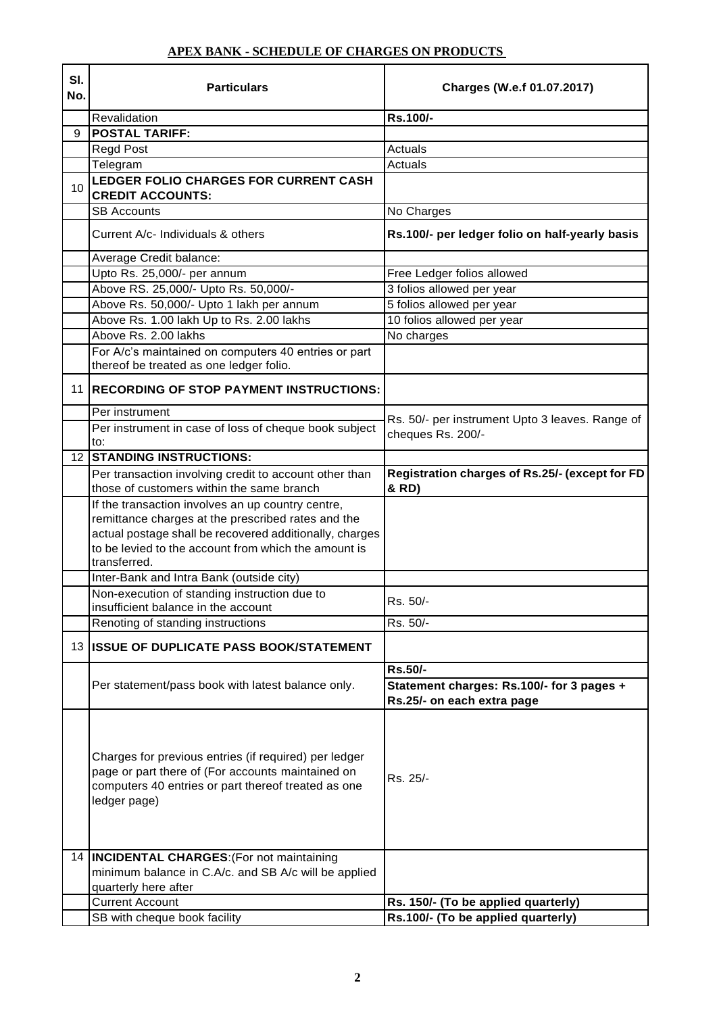| SI.<br>No. | <b>Particulars</b>                                                                                                                                                                                                                         | Charges (W.e.f 01.07.2017)                                              |
|------------|--------------------------------------------------------------------------------------------------------------------------------------------------------------------------------------------------------------------------------------------|-------------------------------------------------------------------------|
|            | Revalidation                                                                                                                                                                                                                               | Rs.100/-                                                                |
| 9          | <b>POSTAL TARIFF:</b>                                                                                                                                                                                                                      |                                                                         |
|            | <b>Regd Post</b>                                                                                                                                                                                                                           | Actuals                                                                 |
|            | Telegram                                                                                                                                                                                                                                   | Actuals                                                                 |
| 10         | LEDGER FOLIO CHARGES FOR CURRENT CASH<br><b>CREDIT ACCOUNTS:</b>                                                                                                                                                                           |                                                                         |
|            | <b>SB Accounts</b>                                                                                                                                                                                                                         | No Charges                                                              |
|            | Current A/c- Individuals & others                                                                                                                                                                                                          | Rs.100/- per ledger folio on half-yearly basis                          |
|            | Average Credit balance:                                                                                                                                                                                                                    |                                                                         |
|            | Upto Rs. 25,000/- per annum                                                                                                                                                                                                                | Free Ledger folios allowed                                              |
|            | Above RS. 25,000/- Upto Rs. 50,000/-                                                                                                                                                                                                       | 3 folios allowed per year                                               |
|            | Above Rs. 50,000/- Upto 1 lakh per annum                                                                                                                                                                                                   | 5 folios allowed per year                                               |
|            | Above Rs. 1.00 lakh Up to Rs. 2.00 lakhs                                                                                                                                                                                                   | 10 folios allowed per year                                              |
|            | Above Rs. 2.00 lakhs                                                                                                                                                                                                                       | No charges                                                              |
|            | For A/c's maintained on computers 40 entries or part<br>thereof be treated as one ledger folio.                                                                                                                                            |                                                                         |
| 11         | <b>RECORDING OF STOP PAYMENT INSTRUCTIONS:</b>                                                                                                                                                                                             |                                                                         |
|            | Per instrument                                                                                                                                                                                                                             | Rs. 50/- per instrument Upto 3 leaves. Range of                         |
|            | Per instrument in case of loss of cheque book subject<br>to:                                                                                                                                                                               | cheques Rs. 200/-                                                       |
|            | <b>12 STANDING INSTRUCTIONS:</b>                                                                                                                                                                                                           |                                                                         |
|            | Per transaction involving credit to account other than<br>those of customers within the same branch                                                                                                                                        | Registration charges of Rs.25/- (except for FD<br>& RD)                 |
|            | If the transaction involves an up country centre,<br>remittance charges at the prescribed rates and the<br>actual postage shall be recovered additionally, charges<br>to be levied to the account from which the amount is<br>transferred. |                                                                         |
|            | Inter-Bank and Intra Bank (outside city)                                                                                                                                                                                                   |                                                                         |
|            | Non-execution of standing instruction due to<br>insufficient balance in the account                                                                                                                                                        | Rs. 50/-                                                                |
|            | Renoting of standing instructions                                                                                                                                                                                                          | Rs. 50/-                                                                |
|            | 13 ISSUE OF DUPLICATE PASS BOOK/STATEMENT                                                                                                                                                                                                  |                                                                         |
|            |                                                                                                                                                                                                                                            | Rs.50/-                                                                 |
|            | Per statement/pass book with latest balance only.                                                                                                                                                                                          | Statement charges: Rs.100/- for 3 pages +<br>Rs.25/- on each extra page |
|            | Charges for previous entries (if required) per ledger<br>page or part there of (For accounts maintained on<br>computers 40 entries or part thereof treated as one<br>ledger page)                                                          | Rs. 25/-                                                                |
|            | 14  INCIDENTAL CHARGES: (For not maintaining<br>minimum balance in C.A/c. and SB A/c will be applied<br>quarterly here after                                                                                                               |                                                                         |
|            | <b>Current Account</b>                                                                                                                                                                                                                     | Rs. 150/- (To be applied quarterly)                                     |
|            | SB with cheque book facility                                                                                                                                                                                                               | Rs.100/- (To be applied quarterly)                                      |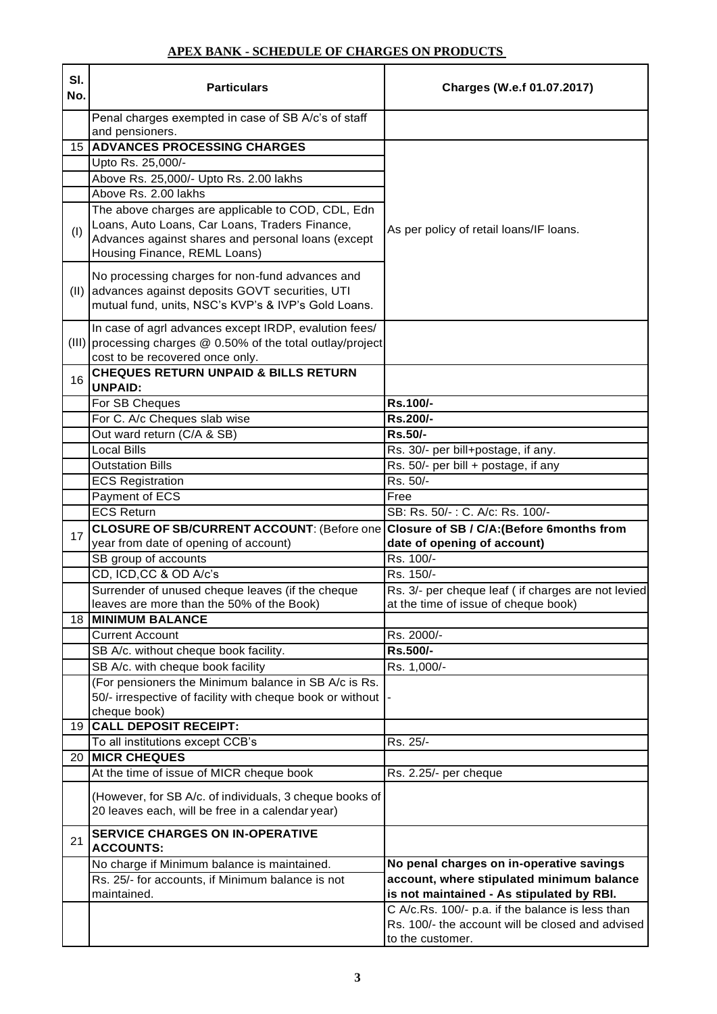| SI.<br>No. | <b>Particulars</b>                                                                   | Charges (W.e.f 01.07.2017)                         |
|------------|--------------------------------------------------------------------------------------|----------------------------------------------------|
|            | Penal charges exempted in case of SB A/c's of staff<br>and pensioners.               |                                                    |
|            | <b>15 ADVANCES PROCESSING CHARGES</b>                                                |                                                    |
|            | Upto Rs. 25,000/-                                                                    |                                                    |
|            | Above Rs. 25,000/- Upto Rs. 2.00 lakhs                                               |                                                    |
|            | Above Rs. 2.00 lakhs                                                                 |                                                    |
|            | The above charges are applicable to COD, CDL, Edn                                    |                                                    |
| (1)        | Loans, Auto Loans, Car Loans, Traders Finance,                                       | As per policy of retail loans/IF loans.            |
|            | Advances against shares and personal loans (except<br>Housing Finance, REML Loans)   |                                                    |
|            |                                                                                      |                                                    |
|            | No processing charges for non-fund advances and                                      |                                                    |
| (II)       | advances against deposits GOVT securities, UTI                                       |                                                    |
|            | mutual fund, units, NSC's KVP's & IVP's Gold Loans.                                  |                                                    |
|            | In case of agrl advances except IRDP, evalution fees/                                |                                                    |
|            | (III) processing charges $@$ 0.50% of the total outlay/project                       |                                                    |
|            | cost to be recovered once only.                                                      |                                                    |
| 16         | <b>CHEQUES RETURN UNPAID &amp; BILLS RETURN</b><br><b>UNPAID:</b>                    |                                                    |
|            | For SB Cheques                                                                       | Rs.100/-                                           |
|            | For C. A/c Cheques slab wise                                                         | Rs.200/-                                           |
|            | Out ward return (C/A & SB)                                                           | Rs.50/-                                            |
|            | <b>Local Bills</b>                                                                   | Rs. 30/- per bill+postage, if any.                 |
|            | <b>Outstation Bills</b>                                                              | Rs. 50/- per bill + postage, if any                |
|            | <b>ECS Registration</b>                                                              | Rs. 50/-                                           |
|            | Payment of ECS                                                                       | Free                                               |
|            | <b>ECS Return</b>                                                                    | SB: Rs. 50/-: C. A/c: Rs. 100/-                    |
| 17         | CLOSURE OF SB/CURRENT ACCOUNT: (Before one Closure of SB / C/A: (Before 6months from |                                                    |
|            | year from date of opening of account)                                                | date of opening of account)<br>Rs. 100/-           |
|            | SB group of accounts<br>CD, ICD, CC & OD A/c's                                       | Rs. 150/-                                          |
|            | Surrender of unused cheque leaves (if the cheque                                     | Rs. 3/- per cheque leaf (if charges are not levied |
|            | leaves are more than the 50% of the Book)                                            | at the time of issue of cheque book)               |
| 18         | <b>MINIMUM BALANCE</b>                                                               |                                                    |
|            | Current Account                                                                      | Rs. 2000/-                                         |
|            | SB A/c. without cheque book facility.                                                | Rs.500/-                                           |
|            | SB A/c. with cheque book facility                                                    | Rs. 1,000/-                                        |
|            | (For pensioners the Minimum balance in SB A/c is Rs.                                 |                                                    |
|            | 50/- irrespective of facility with cheque book or without                            |                                                    |
|            | cheque book)                                                                         |                                                    |
|            | 19 CALL DEPOSIT RECEIPT:                                                             |                                                    |
|            | To all institutions except CCB's                                                     | Rs. 25/-                                           |
| 20         | <b>MICR CHEQUES</b>                                                                  |                                                    |
|            | At the time of issue of MICR cheque book                                             | Rs. 2.25/- per cheque                              |
|            | (However, for SB A/c. of individuals, 3 cheque books of                              |                                                    |
|            | 20 leaves each, will be free in a calendar year)                                     |                                                    |
|            |                                                                                      |                                                    |
| 21         | <b>SERVICE CHARGES ON IN-OPERATIVE</b><br><b>ACCOUNTS:</b>                           |                                                    |
|            | No charge if Minimum balance is maintained.                                          | No penal charges on in-operative savings           |
|            | Rs. 25/- for accounts, if Minimum balance is not                                     | account, where stipulated minimum balance          |
|            | maintained.                                                                          | is not maintained - As stipulated by RBI.          |
|            |                                                                                      | C A/c.Rs. 100/- p.a. if the balance is less than   |
|            |                                                                                      | Rs. 100/- the account will be closed and advised   |
|            |                                                                                      | to the customer.                                   |